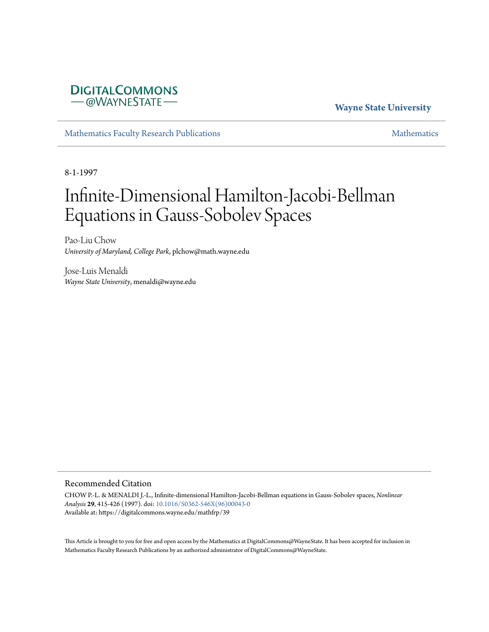

**Wayne State University**

[Mathematics Faculty Research Publications](https://digitalcommons.wayne.edu/mathfrp) and the mathematics of the [Mathematics](https://digitalcommons.wayne.edu/math) Mathematics Mathematics of the Mathematics of the Mathematics of the Mathematics of the Mathematics of the Mathematics of the Mathematics of

8-1-1997

## Infinite-Dimensional Hamilton-Jacobi-Bellman Equations in Gauss-Sobolev Spaces

Pao-Liu Chow *University of Maryland, College Park*, plchow@math.wayne.edu

Jose-Luis Menaldi *Wayne State University*, menaldi@wayne.edu

#### Recommended Citation

CHOW P.-L. & MENALDI J.-L., Infinite-dimensional Hamilton-Jacobi-Bellman equations in Gauss-Sobolev spaces, *Nonlinear Analysis* **29**, 415-426 (1997). doi: [10.1016/S0362-546X\(96\)00043-0](https://dx.doi.org/10.1016/S0362-546X(96)00043-0) Available at: https://digitalcommons.wayne.edu/mathfrp/39

This Article is brought to you for free and open access by the Mathematics at DigitalCommons@WayneState. It has been accepted for inclusion in Mathematics Faculty Research Publications by an authorized administrator of DigitalCommons@WayneState.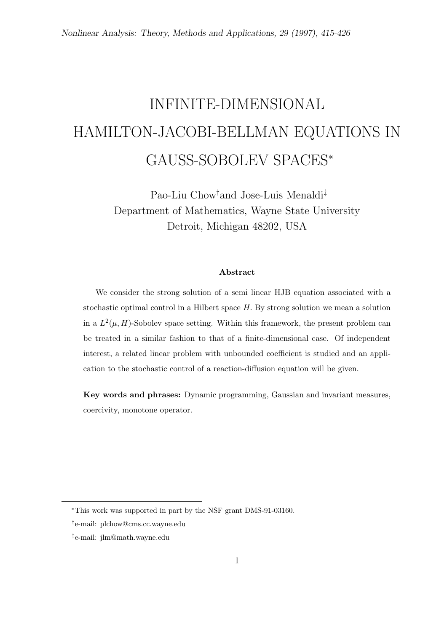# INFINITE-DIMENSIONAL HAMILTON-JACOBI-BELLMAN EQUATIONS IN GAUSS-SOBOLEV SPACES*<sup>∗</sup>*

Pao-Liu Chow*†*and Jose-Luis Menaldi*‡* Department of Mathematics, Wayne State University Detroit, Michigan 48202, USA

#### **Abstract**

We consider the strong solution of a semi linear HJB equation associated with a stochastic optimal control in a Hilbert space *H.* By strong solution we mean a solution in a  $L^2(\mu, H)$ -Sobolev space setting. Within this framework, the present problem can be treated in a similar fashion to that of a finite-dimensional case. Of independent interest, a related linear problem with unbounded coefficient is studied and an application to the stochastic control of a reaction-diffusion equation will be given.

**Key words and phrases:** Dynamic programming, Gaussian and invariant measures, coercivity, monotone operator.

*<sup>∗</sup>*This work was supported in part by the NSF grant DMS-91-03160.

*<sup>†</sup>* e-mail: plchow@cms.cc.wayne.edu

*<sup>‡</sup>* e-mail: jlm@math.wayne.edu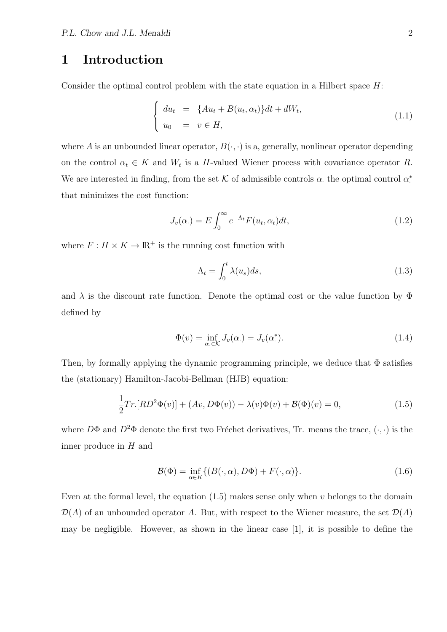### **1 Introduction**

Consider the optimal control problem with the state equation in a Hilbert space *H*:

$$
\begin{cases}\n du_t = \{Au_t + B(u_t, \alpha_t)\}dt + dW_t, \\
 u_0 = v \in H,\n\end{cases}
$$
\n(1.1)

where *A* is an unbounded linear operator,  $B(\cdot, \cdot)$  is a, generally, nonlinear operator depending on the control  $\alpha_t \in K$  and  $W_t$  is a *H*-valued Wiener process with covariance operator *R*. We are interested in finding, from the set  $K$  of admissible controls  $\alpha$ , the optimal control  $\alpha^*$ that minimizes the cost function:

$$
J_v(\alpha.) = E \int_0^\infty e^{-\Lambda_t} F(u_t, \alpha_t) dt,
$$
\n(1.2)

where  $F: H \times K \to \mathbb{R}^+$  is the running cost function with

$$
\Lambda_t = \int_0^t \lambda(u_s) ds,\tag{1.3}
$$

and  $\lambda$  is the discount rate function. Denote the optimal cost or the value function by  $\Phi$ defined by

$$
\Phi(v) = \inf_{\alpha \in \mathcal{K}} J_v(\alpha) = J_v(\alpha^*).
$$
\n(1.4)

Then, by formally applying the dynamic programming principle, we deduce that  $\Phi$  satisfies the (stationary) Hamilton-Jacobi-Bellman (HJB) equation:

$$
\frac{1}{2}Tr[RD^{2}\Phi(v)] + (Av, D\Phi(v)) - \lambda(v)\Phi(v) + \mathcal{B}(\Phi)(v) = 0,
$$
\n(1.5)

where  $D\Phi$  and  $D^2\Phi$  denote the first two Fréchet derivatives, Tr. means the trace,  $(\cdot, \cdot)$  is the inner produce in *H* and

$$
\mathcal{B}(\Phi) = \inf_{\alpha \in K} \{ (B(\cdot, \alpha), D\Phi) + F(\cdot, \alpha) \}.
$$
\n(1.6)

Even at the formal level, the equation (1.5) makes sense only when *v* belongs to the domain  $\mathcal{D}(A)$  of an unbounded operator *A*. But, with respect to the Wiener measure, the set  $\mathcal{D}(A)$ may be negligible. However, as shown in the linear case [1], it is possible to define the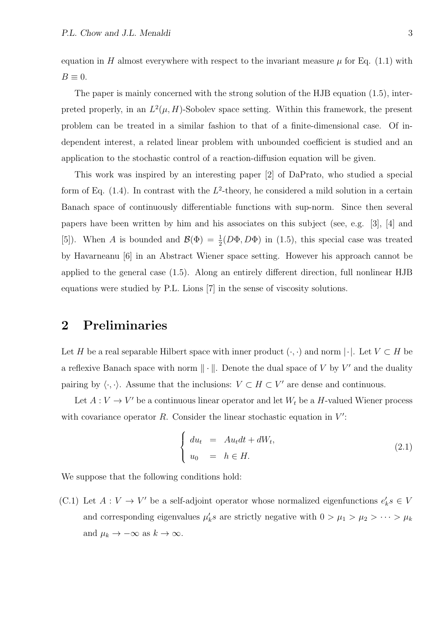equation in *H* almost everywhere with respect to the invariant measure  $\mu$  for Eq. (1.1) with  $B \equiv 0$ .

The paper is mainly concerned with the strong solution of the HJB equation (1.5), interpreted properly, in an  $L^2(\mu, H)$ -Sobolev space setting. Within this framework, the present problem can be treated in a similar fashion to that of a finite-dimensional case. Of independent interest, a related linear problem with unbounded coefficient is studied and an application to the stochastic control of a reaction-diffusion equation will be given.

This work was inspired by an interesting paper [2] of DaPrato, who studied a special form of Eq.  $(1.4)$ . In contrast with the  $L^2$ -theory, he considered a mild solution in a certain Banach space of continuously differentiable functions with sup-norm. Since then several papers have been written by him and his associates on this subject (see, e.g. [3], [4] and [5]). When *A* is bounded and  $\mathcal{B}(\Phi) = \frac{1}{2}(D\Phi, D\Phi)$  in (1.5), this special case was treated by Havarneanu [6] in an Abstract Wiener space setting. However his approach cannot be applied to the general case (1.5). Along an entirely different direction, full nonlinear HJB equations were studied by P.L. Lions [7] in the sense of viscosity solutions.

### **2 Preliminaries**

Let *H* be a real separable Hilbert space with inner product  $(\cdot, \cdot)$  and norm  $|\cdot|$ . Let  $V \subset H$  be a reflexive Banach space with norm *∥ · ∥*. Denote the dual space of *V* by *V ′* and the duality pairing by  $\langle \cdot, \cdot \rangle$ . Assume that the inclusions:  $V \subset H \subset V'$  are dense and continuous.

Let  $A: V \to V'$  be a continuous linear operator and let  $W_t$  be a *H*-valued Wiener process with covariance operator *R*. Consider the linear stochastic equation in  $V'$ :

$$
\begin{cases}\n du_t = Au_t dt + dW_t, \\
 u_0 = h \in H.\n\end{cases}
$$
\n(2.1)

We suppose that the following conditions hold:

(C.1) Let  $A: V \to V'$  be a self-adjoint operator whose normalized eigenfunctions  $e'_k s \in V$ and corresponding eigenvalues  $\mu'_k s$  are strictly negative with  $0 > \mu_1 > \mu_2 > \cdots > \mu_k$ and  $\mu_k \to -\infty$  as  $k \to \infty$ .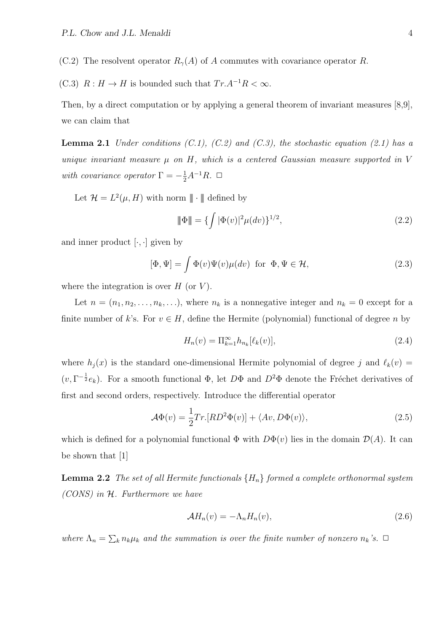(C.2) The resolvent operator  $R_{\gamma}(A)$  of A commutes with covariance operator R.

(C.3)  $R: H \to H$  is bounded such that  $Tr.A^{-1}R < \infty$ .

Then, by a direct computation or by applying a general theorem of invariant measures [8,9], we can claim that

**Lemma 2.1** *Under conditions (C.1), (C.2) and (C.3), the stochastic equation (2.1) has a unique invariant measure µ on H, which is a centered Gaussian measure supported in V with covariance operator*  $\Gamma = -\frac{1}{2}A^{-1}R$ *.*  $\Box$ 

Let  $\mathcal{H} = L^2(\mu, H)$  with norm  $\|\cdot\|$  defined by

$$
\|\Phi\| = \{\int |\Phi(v)|^2 \mu(dv)\}^{1/2},\tag{2.2}
$$

and inner product  $[\cdot, \cdot]$  given by

$$
[\Phi, \Psi] = \int \Phi(v)\Psi(v)\mu(dv) \text{ for } \Phi, \Psi \in \mathcal{H}, \tag{2.3}
$$

where the integration is over *H* (or *V* ).

Let  $n = (n_1, n_2, \ldots, n_k, \ldots)$ , where  $n_k$  is a nonnegative integer and  $n_k = 0$  except for a finite number of *k*'s. For  $v \in H$ , define the Hermite (polynomial) functional of degree *n* by

$$
H_n(v) = \Pi_{k=1}^{\infty} h_{n_k}[\ell_k(v)],
$$
\n(2.4)

where  $h_j(x)$  is the standard one-dimensional Hermite polynomial of degree *j* and  $\ell_k(v)$  =  $(v, \Gamma^{-\frac{1}{2}}e_k)$ . For a smooth functional  $\Phi$ , let  $D\Phi$  and  $D^2\Phi$  denote the Fréchet derivatives of first and second orders, respectively. Introduce the differential operator

$$
\mathcal{A}\Phi(v) = \frac{1}{2}Tr\left[RD^2\Phi(v)\right] + \langle Av, D\Phi(v)\rangle,\tag{2.5}
$$

which is defined for a polynomial functional  $\Phi$  with  $D\Phi(v)$  lies in the domain  $\mathcal{D}(A)$ . It can be shown that [1]

**Lemma 2.2** *The set of all Hermite functionals {Hn} formed a complete orthonormal system (CONS) in H. Furthermore we have*

$$
\mathcal{A}H_n(v) = -\Lambda_n H_n(v),\tag{2.6}
$$

*where*  $\Lambda_n = \sum_k n_k \mu_k$  *and the summation is over the finite number of nonzero*  $n_k$ 's.  $\Box$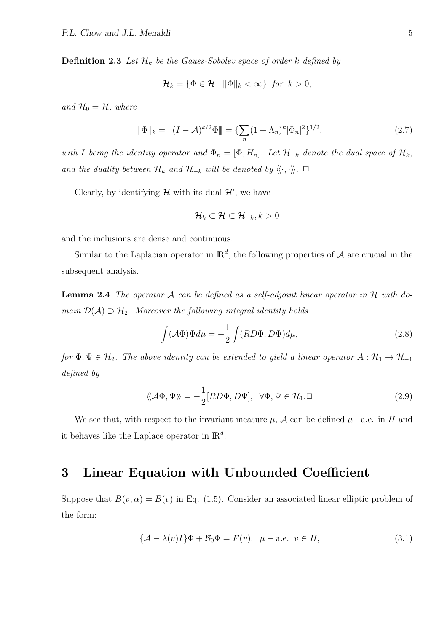**Definition 2.3** Let  $\mathcal{H}_k$  be the Gauss-Sobolev space of order  $k$  defined by

$$
\mathcal{H}_k = \{ \Phi \in \mathcal{H} : \|\Phi\|_k < \infty \} \text{ for } k > 0,
$$

*and*  $\mathcal{H}_0 = \mathcal{H}$ *, where* 

$$
\|\Phi\|_{k} = \|(I - A)^{k/2}\Phi\| = \{\sum_{n} (1 + \Lambda_n)^{k} |\Phi_n|^2\}^{1/2},
$$
\n(2.7)

*with I* being the identity operator and  $\Phi_n = [\Phi, H_n]$ . Let  $\mathcal{H}_{-k}$  denote the dual space of  $\mathcal{H}_k$ , *and the duality between*  $\mathcal{H}_k$  *and*  $\mathcal{H}_{-k}$  *will be denoted by*  $\langle\langle \cdot, \cdot \rangle\rangle$ *.*  $\Box$ 

Clearly, by identifying  $H$  with its dual  $H'$ , we have

$$
\mathcal{H}_k \subset \mathcal{H} \subset \mathcal{H}_{-k}, k > 0
$$

and the inclusions are dense and continuous.

Similar to the Laplacian operator in  $\mathbb{R}^d$ , the following properties of  $\mathcal A$  are crucial in the subsequent analysis.

**Lemma 2.4** *The operator A can be defined as a self-adjoint linear operator in H with domain*  $\mathcal{D}(\mathcal{A}) \supset \mathcal{H}_2$ *. Moreover the following integral identity holds:* 

$$
\int (\mathcal{A}\Phi)\Psi d\mu = -\frac{1}{2}\int (RD\Phi, D\Psi) d\mu,
$$
\n(2.8)

*for*  $\Phi, \Psi \in \mathcal{H}_2$ *. The above identity can be extended to yield a linear operator*  $A: \mathcal{H}_1 \to \mathcal{H}_{-1}$ *defined by*

$$
\langle \langle \mathcal{A}\Phi, \Psi \rangle \rangle = -\frac{1}{2} [RD\Phi, D\Psi], \ \ \forall \Phi, \Psi \in \mathcal{H}_1. \Box
$$
\n(2.9)

We see that, with respect to the invariant measure  $\mu$ ,  $\mathcal A$  can be defined  $\mu$  - a.e. in *H* and it behaves like the Laplace operator in IR*<sup>d</sup>* .

#### **3 Linear Equation with Unbounded Coefficient**

Suppose that  $B(v, \alpha) = B(v)$  in Eq. (1.5). Consider an associated linear elliptic problem of the form:

$$
\{\mathcal{A} - \lambda(v)I\}\Phi + \mathcal{B}_0\Phi = F(v), \ \mu - \text{a.e. } v \in H,
$$
\n(3.1)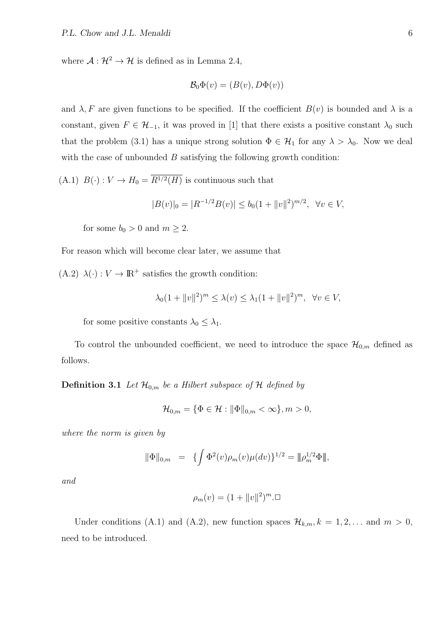where  $A: \mathcal{H}^2 \to \mathcal{H}$  is defined as in Lemma 2.4,

$$
\mathcal{B}_0\Phi(v)=(B(v),D\Phi(v))
$$

and  $\lambda$ , F are given functions to be specified. If the coefficient  $B(v)$  is bounded and  $\lambda$  is a constant, given  $F \in \mathcal{H}_{-1}$ , it was proved in [1] that there exists a positive constant  $\lambda_0$  such that the problem (3.1) has a unique strong solution  $\Phi \in \mathcal{H}_1$  for any  $\lambda > \lambda_0$ . Now we deal with the case of unbounded *B* satisfying the following growth condition:

 $(A.1)$   $B(\cdot): V \to H_0 = R^{1/2}(H)$  is continuous such that

$$
|B(v)|_0 = |R^{-1/2}B(v)| \le b_0(1 + \|v\|^2)^{m/2}, \ \forall v \in V,
$$

for some  $b_0 > 0$  and  $m \geq 2$ .

For reason which will become clear later, we assume that

 $(A.2) \lambda(\cdot): V \to \mathbb{R}^+$  satisfies the growth condition:

$$
\lambda_0(1 + \|v\|^2)^m \le \lambda(v) \le \lambda_1(1 + \|v\|^2)^m, \ \forall v \in V,
$$

for some positive constants  $\lambda_0 \leq \lambda_1$ .

To control the unbounded coefficient, we need to introduce the space  $\mathcal{H}_{0,m}$  defined as follows.

**Definition 3.1** *Let*  $\mathcal{H}_{0,m}$  *be a Hilbert subspace of*  $\mathcal{H}$  *defined by* 

$$
\mathcal{H}_{0,m} = \{ \Phi \in \mathcal{H} : \|\Phi\|_{0,m} < \infty \}, m > 0,
$$

*where the norm is given by*

$$
\|\Phi\|_{0,m} = \{\int \Phi^2(v)\rho_m(v)\mu(dv)\}^{1/2} = \|\rho_m^{1/2}\Phi\|,
$$

*and*

$$
\rho_m(v) = (1 + ||v||^2)^m \Box
$$

Under conditions (A.1) and (A.2), new function spaces  $\mathcal{H}_{k,m}$ ,  $k = 1, 2, \ldots$  and  $m > 0$ , need to be introduced.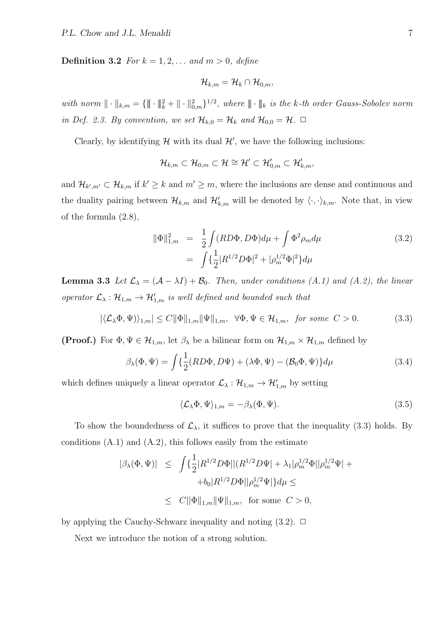**Definition 3.2** *For*  $k = 1, 2, ...$  *and*  $m > 0$ *, define* 

$$
\mathcal{H}_{k,m}=\mathcal{H}_k\cap\mathcal{H}_{0,m},
$$

*with norm*  $\|\cdot\|_{k,m} = {\{\|\cdot\|_{k}^2 + \|\cdot\|_{0,m}^2\}}^{1/2}$ , where  $\|\cdot\|_{k}$  is the k-th order Gauss-Sobolev norm *in Def. 2.3. By convention, we set*  $\mathcal{H}_{k,0} = \mathcal{H}_k$  *and*  $\mathcal{H}_{0,0} = \mathcal{H}$ *.*  $\Box$ 

Clearly, by identifying  $H$  with its dual  $H'$ , we have the following inclusions:

$$
\mathcal{H}_{k,m}\subset\mathcal{H}_{0,m}\subset\mathcal{H}\cong\mathcal{H}'\subset\mathcal{H}'_{0,m}\subset\mathcal{H}'_{k,m},
$$

and  $\mathcal{H}_{k',m'} \subset \mathcal{H}_{k,m}$  if  $k' \geq k$  and  $m' \geq m$ , where the inclusions are dense and continuous and the duality pairing between  $\mathcal{H}_{k,m}$  and  $\mathcal{H}'_{k,m}$  will be denoted by  $\langle \cdot, \cdot \rangle_{k,m}$ . Note that, in view of the formula (2.8),

$$
\|\Phi\|_{1,m}^2 = \frac{1}{2} \int (RD\Phi, D\Phi) d\mu + \int \Phi^2 \rho_m d\mu
$$
\n
$$
= \int \{\frac{1}{2} |R^{1/2}D\Phi|^2 + |\rho_m^{1/2}\Phi|^2\} d\mu
$$
\n(3.2)

**Lemma 3.3** *Let*  $\mathcal{L}_{\lambda} = (\mathcal{A} - \lambda I) + \mathcal{B}_{0}$ *. Then, under conditions (A.1) and (A.2), the linear operator*  $\mathcal{L}_{\lambda}$  :  $\mathcal{H}_{1,m}$   $\rightarrow$   $\mathcal{H}'_{1,m}$  *is well defined and bounded such that* 

$$
|\langle \mathcal{L}_{\lambda}\Phi, \Psi \rangle\rangle_{1,m}| \le C \|\Phi\|_{1,m} \|\Psi\|_{1,m}, \quad \forall \Phi, \Psi \in \mathcal{H}_{1,m}, \text{ for some } C > 0. \tag{3.3}
$$

**(Proof.)** For  $\Phi, \Psi \in \mathcal{H}_{1,m}$ , let  $\beta_{\lambda}$  be a bilinear form on  $\mathcal{H}_{1,m} \times \mathcal{H}_{1,m}$  defined by

$$
\beta_{\lambda}(\Phi,\Psi) = \int \left\{ \frac{1}{2} (RD\Phi, D\Psi) + (\lambda \Phi, \Psi) - (\mathcal{B}_0 \Phi, \Psi) \right\} d\mu \tag{3.4}
$$

which defines uniquely a linear operator  $\mathcal{L}_{\lambda}: \mathcal{H}_{1,m} \to \mathcal{H}'_{1,m}$  by setting

$$
\langle \mathcal{L}_{\lambda} \Phi, \Psi \rangle_{1,m} = -\beta_{\lambda} (\Phi, \Psi). \tag{3.5}
$$

To show the boundedness of  $\mathcal{L}_{\lambda}$ , it suffices to prove that the inequality (3.3) holds. By conditions  $(A.1)$  and  $(A.2)$ , this follows easily from the estimate

$$
\begin{array}{rcl} |\beta_{\lambda}(\Phi,\Psi)| & \leq & \displaystyle \int \{ \frac{1}{2} |R^{1/2}D\Phi| |(R^{1/2}D\Psi| + \lambda_1|\rho_m^{1/2}\Phi| |\rho_m^{1/2}\Psi| + & & \\ & & \displaystyle + b_0 |R^{1/2}D\Phi| |\rho_m^{1/2}\Psi| \} d\mu \leq & \\ & \leq & C ||\Phi\|_{1,m} \|\Psi\|_{1,m}, \ \ \text{for some} \ \ C > 0, \end{array}
$$

by applying the Cauchy-Schwarz inequality and noting  $(3.2)$ .  $\Box$ 

Next we introduce the notion of a strong solution.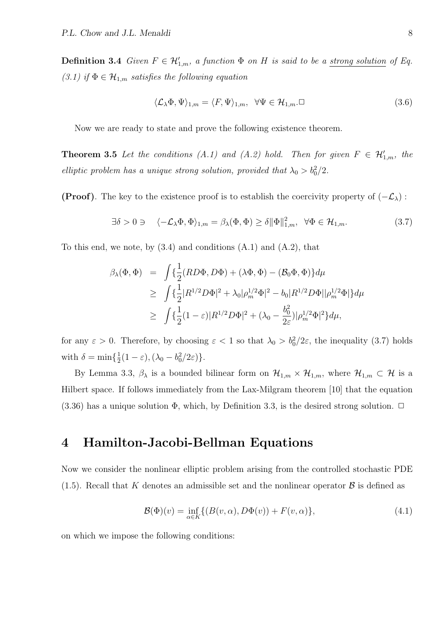**Definition 3.4** *Given*  $F \in \mathcal{H}'_{1,m}$ *, a function*  $\Phi$  *on*  $H$  *is said to be a <u>strong solution</u> of Eq. (3.1) if*  $\Phi$  ∈  $\mathcal{H}_{1,m}$  *satisfies the following equation* 

$$
\langle \mathcal{L}_{\lambda} \Phi, \Psi \rangle_{1,m} = \langle F, \Psi \rangle_{1,m}, \quad \forall \Psi \in \mathcal{H}_{1,m}.\Box
$$
\n(3.6)

Now we are ready to state and prove the following existence theorem.

**Theorem 3.5** Let the conditions  $(A.1)$  and  $(A.2)$  hold. Then for given  $F \in \mathcal{H}'_{1,m}$ , the *elliptic problem has a unique strong solution, provided that*  $\lambda_0 > b_0^2/2$ .

**(Proof)**. The key to the existence proof is to establish the coercivity property of (*−Lλ*) :

$$
\exists \delta > 0 \ni \quad \langle -\mathcal{L}_{\lambda} \Phi, \Phi \rangle_{1,m} = \beta_{\lambda}(\Phi, \Phi) \ge \delta \|\Phi\|_{1,m}^2, \quad \forall \Phi \in \mathcal{H}_{1,m}.
$$

To this end, we note, by  $(3.4)$  and conditions  $(A.1)$  and  $(A.2)$ , that

$$
\beta_{\lambda}(\Phi, \Phi) = \int \{ \frac{1}{2} (RD\Phi, D\Phi) + (\lambda \Phi, \Phi) - (\mathcal{B}_{0}\Phi, \Phi) \} d\mu
$$
  
\n
$$
\geq \int \{ \frac{1}{2} |R^{1/2}D\Phi|^{2} + \lambda_{0} |\rho_{m}^{1/2}\Phi|^{2} - b_{0} |R^{1/2}D\Phi| |\rho_{m}^{1/2}\Phi| \} d\mu
$$
  
\n
$$
\geq \int \{ \frac{1}{2} (1 - \varepsilon) |R^{1/2}D\Phi|^{2} + (\lambda_{0} - \frac{b_{0}^{2}}{2\varepsilon}) |\rho_{m}^{1/2}\Phi|^{2} \} d\mu,
$$

for any  $\varepsilon > 0$ . Therefore, by choosing  $\varepsilon < 1$  so that  $\lambda_0 > b_0^2/2\varepsilon$ , the inequality (3.7) holds with  $\delta = \min\{\frac{1}{2}$  $\frac{1}{2}(1-\varepsilon), (\lambda_0 - b_0^2/2\varepsilon)\}.$ 

By Lemma 3.3,  $\beta_{\lambda}$  is a bounded bilinear form on  $\mathcal{H}_{1,m} \times \mathcal{H}_{1,m}$ , where  $\mathcal{H}_{1,m} \subset \mathcal{H}$  is a Hilbert space. If follows immediately from the Lax-Milgram theorem [10] that the equation  $(3.36)$  has a unique solution  $\Phi$ , which, by Definition 3.3, is the desired strong solution.  $\Box$ 

### **4 Hamilton-Jacobi-Bellman Equations**

Now we consider the nonlinear elliptic problem arising from the controlled stochastic PDE  $(1.5)$ . Recall that *K* denotes an admissible set and the nonlinear operator *B* is defined as

$$
\mathcal{B}(\Phi)(v) = \inf_{\alpha \in K} \{ (B(v, \alpha), D\Phi(v)) + F(v, \alpha) \},\tag{4.1}
$$

on which we impose the following conditions: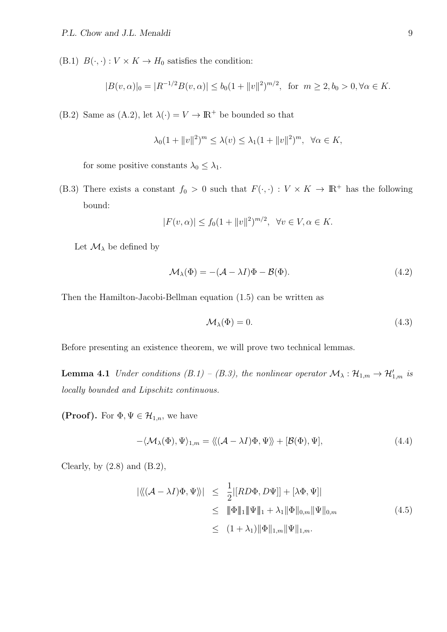(B.1)  $B(\cdot, \cdot): V \times K \to H_0$  satisfies the condition:

$$
|B(v, \alpha)|_0 = |R^{-1/2}B(v, \alpha)| \le b_0(1 + \|v\|^2)^{m/2}, \text{ for } m \ge 2, b_0 > 0, \forall \alpha \in K.
$$

(B.2) Same as (A.2), let  $\lambda(\cdot) = V \rightarrow \mathbb{R}^+$  be bounded so that

$$
\lambda_0(1 + ||v||^2)^m \le \lambda(v) \le \lambda_1(1 + ||v||^2)^m, \ \forall \alpha \in K,
$$

for some positive constants  $\lambda_0 \leq \lambda_1$ .

(B.3) There exists a constant  $f_0 > 0$  such that  $F(\cdot, \cdot) : V \times K \to \mathbb{R}^+$  has the following bound:

$$
|F(v, \alpha)| \le f_0(1 + \|v\|^2)^{m/2}, \ \forall v \in V, \alpha \in K.
$$

Let  $\mathcal{M}_{\lambda}$  be defined by

$$
\mathcal{M}_{\lambda}(\Phi) = -(\mathcal{A} - \lambda I)\Phi - \mathcal{B}(\Phi). \tag{4.2}
$$

Then the Hamilton-Jacobi-Bellman equation (1.5) can be written as

$$
\mathcal{M}_{\lambda}(\Phi) = 0. \tag{4.3}
$$

Before presenting an existence theorem, we will prove two technical lemmas.

**Lemma 4.1** *Under conditions*  $(B.1) - (B.3)$ , the nonlinear operator  $\mathcal{M}_{\lambda}: \mathcal{H}_{1,m} \to \mathcal{H}'_{1,m}$  is *locally bounded and Lipschitz continuous.*

**(Proof).** For  $\Phi, \Psi \in \mathcal{H}_{1,n}$ , we have

$$
-\langle \mathcal{M}_{\lambda}(\Phi), \Psi \rangle_{1,m} = \langle \langle (\mathcal{A} - \lambda I)\Phi, \Psi \rangle \rangle + [\mathcal{B}(\Phi), \Psi], \tag{4.4}
$$

Clearly, by  $(2.8)$  and  $(B.2)$ ,

$$
\begin{aligned} |\langle\langle (\mathcal{A} - \lambda I)\Phi, \Psi \rangle\rangle| &\leq \frac{1}{2} |[RD\Phi, D\Psi]| + [\lambda \Phi, \Psi]| \\ &\leq \|\Phi\|_1 \|\Psi\|_1 + \lambda_1 \|\Phi\|_{0,m} \|\Psi\|_{0,m} \\ &\leq (1 + \lambda_1) \|\Phi\|_{1,m} \|\Psi\|_{1,m}. \end{aligned} \tag{4.5}
$$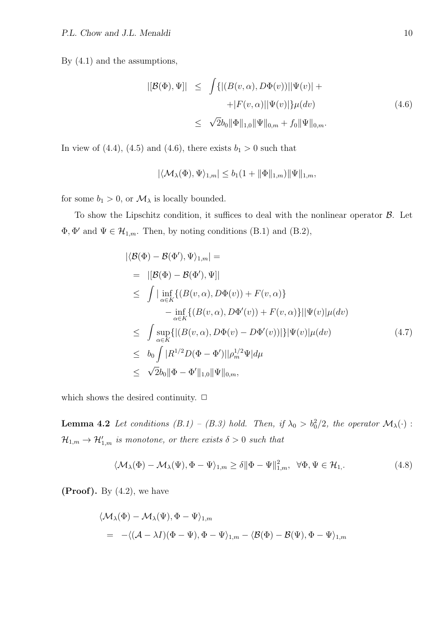By (4.1) and the assumptions,

$$
|[\mathcal{B}(\Phi), \Psi]| \leq \int \{ |(B(v, \alpha), D\Phi(v))| |\Psi(v)| ++ |F(v, \alpha)| |\Psi(v)| \} \mu(dv)
$$
(4.6)  

$$
\leq \sqrt{2}b_0 \|\Phi\|_{1,0} \|\Psi\|_{0,m} + f_0 \|\Psi\|_{0,m}.
$$

In view of  $(4.4)$ ,  $(4.5)$  and  $(4.6)$ , there exists  $b_1 > 0$  such that

$$
|\langle \mathcal{M}_{\lambda}(\Phi), \Psi \rangle_{1,m}| \leq b_1(1 + \|\Phi\|_{1,m}) \|\Psi\|_{1,m},
$$

for some  $b_1 > 0$ , or  $\mathcal{M}_{\lambda}$  is locally bounded.

To show the Lipschitz condition, it suffices to deal with the nonlinear operator *B*. Let  $\Phi$ ,  $\Phi'$  and  $\Psi \in \mathcal{H}_{1,m}$ . Then, by noting conditions (B.1) and (B.2),

$$
\begin{aligned}\n|\langle \mathcal{B}(\Phi) - \mathcal{B}(\Phi'), \Psi \rangle_{1,m}| &= \\
&= |[\mathcal{B}(\Phi) - \mathcal{B}(\Phi'), \Psi]| \\
&\leq \int |\inf_{\alpha \in K} \{ (B(v, \alpha), D\Phi(v)) + F(v, \alpha) \} \\
&- \inf_{\alpha \in K} \{ (B(v, \alpha), D\Phi'(v)) + F(v, \alpha) \} ||\Psi(v)| \mu(dv) \\
&\leq \int \sup_{\alpha \in K} \{ |(B(v, \alpha), D\Phi(v) - D\Phi'(v))| \} |\Psi(v)| \mu(dv) \\
&\leq b_0 \int |R^{1/2} D(\Phi - \Phi')| |\rho_m^{1/2} \Psi| d\mu \\
&\leq \sqrt{2} b_0 ||\Phi - \Phi'||_{1,0} ||\Psi||_{0,m},\n\end{aligned} \tag{4.7}
$$

which shows the desired continuity.  $\Box$ 

**Lemma 4.2** *Let conditions*  $(B.1) - (B.3)$  *hold. Then, if*  $\lambda_0 > b_0^2/2$ *, the operator*  $\mathcal{M}_{\lambda}(\cdot)$ :  $\mathcal{H}_{1,m} \rightarrow \mathcal{H}'_{1,m}$  *is monotone, or there exists*  $\delta > 0$  *such that* 

$$
\langle \mathcal{M}_{\lambda}(\Phi) - \mathcal{M}_{\lambda}(\Psi), \Phi - \Psi \rangle_{1,m} \ge \delta \|\Phi - \Psi\|_{1,m}^2, \quad \forall \Phi, \Psi \in \mathcal{H}_1. \tag{4.8}
$$

**(Proof).** By (4.2), we have

$$
\begin{aligned} &\langle {\cal M}_\lambda(\Phi)-{\cal M}_\lambda(\Psi),\Phi-\Psi\rangle_{1,m}\\ &=& -\langle ({\cal A}-\lambda I)(\Phi-\Psi),\Phi-\Psi\rangle_{1,m}-\langle {\cal B}(\Phi)-{\cal B}(\Psi),\Phi-\Psi\rangle_{1,m} \end{aligned}
$$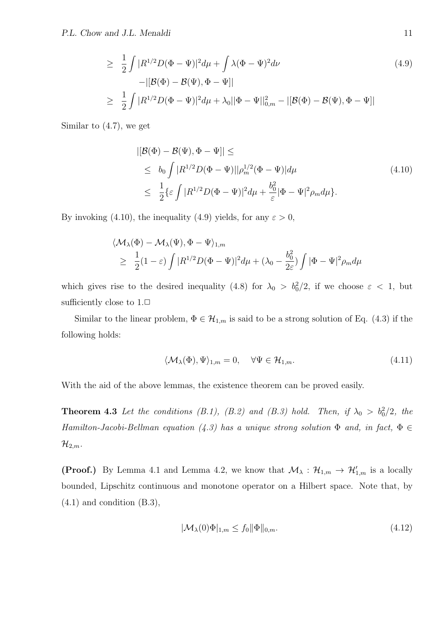$$
\geq \frac{1}{2} \int |R^{1/2}D(\Phi - \Psi)|^2 d\mu + \int \lambda (\Phi - \Psi)^2 d\nu
$$
  
-
$$
|[\mathcal{B}(\Phi) - \mathcal{B}(\Psi), \Phi - \Psi]|
$$
  

$$
\geq \frac{1}{2} \int |R^{1/2}D(\Phi - \Psi)|^2 d\mu + \lambda_0 ||\Phi - \Psi||_{0,m}^2 - |[\mathcal{B}(\Phi) - \mathcal{B}(\Psi), \Phi - \Psi]|
$$
 (4.9)

Similar to (4.7), we get

$$
\begin{aligned} |[\mathcal{B}(\Phi) - \mathcal{B}(\Psi), \Phi - \Psi]| &\leq \\ &\leq b_0 \int |R^{1/2}D(\Phi - \Psi)||\rho_m^{1/2}(\Phi - \Psi)|d\mu \\ &\leq \frac{1}{2}\{\varepsilon \int |R^{1/2}D(\Phi - \Psi)|^2 d\mu + \frac{b_0^2}{\varepsilon}|\Phi - \Psi|^2 \rho_m d\mu\}. \end{aligned} \tag{4.10}
$$

By invoking (4.10), the inequality (4.9) yields, for any  $\varepsilon > 0$ ,

$$
\langle \mathcal{M}_{\lambda}(\Phi) - \mathcal{M}_{\lambda}(\Psi), \Phi - \Psi \rangle_{1,m}
$$
  
\n
$$
\geq \frac{1}{2}(1-\varepsilon) \int |R^{1/2}D(\Phi - \Psi)|^2 d\mu + (\lambda_0 - \frac{b_0^2}{2\varepsilon}) \int |\Phi - \Psi|^2 \rho_m d\mu
$$

which gives rise to the desired inequality (4.8) for  $\lambda_0 > b_0^2/2$ , if we choose  $\varepsilon < 1$ , but sufficiently close to  $1.\Box$ 

Similar to the linear problem,  $\Phi \in \mathcal{H}_{1,m}$  is said to be a strong solution of Eq. (4.3) if the following holds:

$$
\langle \mathcal{M}_{\lambda}(\Phi), \Psi \rangle_{1,m} = 0, \quad \forall \Psi \in \mathcal{H}_{1,m}.
$$
\n(4.11)

With the aid of the above lemmas, the existence theorem can be proved easily.

**Theorem 4.3** Let the conditions (B.1), (B.2) and (B.3) hold. Then, if  $\lambda_0 > b_0^2/2$ , the *Hamilton-Jacobi-Bellman equation*  $(4.3)$  has a unique strong solution  $\Phi$  *and, in fact,*  $\Phi \in$  $\mathcal{H}_{2,m}$ *.* 

**(Proof.)** By Lemma 4.1 and Lemma 4.2, we know that  $\mathcal{M}_{\lambda}: \mathcal{H}_{1,m} \to \mathcal{H}'_{1,m}$  is a locally bounded, Lipschitz continuous and monotone operator on a Hilbert space. Note that, by  $(4.1)$  and condition  $(B.3)$ ,

$$
|\mathcal{M}_{\lambda}(0)\Phi|_{1,m} \le f_0 \|\Phi\|_{0,m}.\tag{4.12}
$$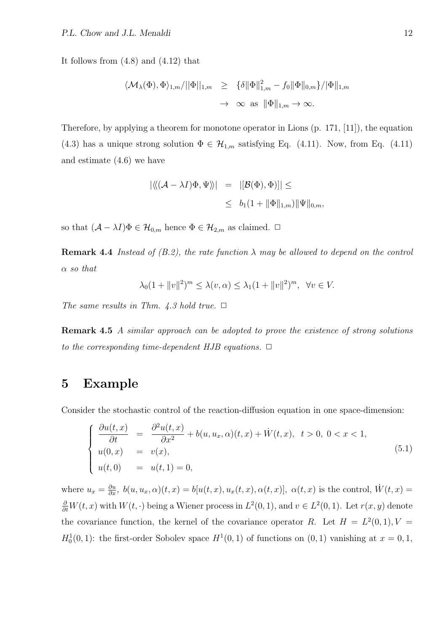It follows from (4.8) and (4.12) that

$$
\langle \mathcal{M}_{\lambda}(\Phi), \Phi \rangle_{1,m}/||\Phi||_{1,m} \geq {\begin{array}{l} \{\delta \|\Phi\|_{1,m}^2 - f_0 \|\Phi\|_{0,m} \}/|\Phi\|_{1,m} \\ \rightarrow \infty \text{ as } \|\Phi\|_{1,m} \rightarrow \infty. \end{array}}
$$

Therefore, by applying a theorem for monotone operator in Lions (p. 171, [11]), the equation (4.3) has a unique strong solution  $\Phi \in \mathcal{H}_{1,m}$  satisfying Eq. (4.11). Now, from Eq. (4.11) and estimate (4.6) we have

$$
\begin{array}{rcl} \left| \langle \langle (\mathcal{A} - \lambda I) \Phi, \Psi \rangle \rangle \right| & = & \left| \left[ \mathcal{B}(\Phi), \Phi \right) \right| \right| \leq \\ & \leq & b_1 (1 + \|\Phi\|_{1,m}) \|\Psi\|_{0,m}, \end{array}
$$

so that  $(A - \lambda I)\Phi \in \mathcal{H}_{0,m}$  hence  $\Phi \in \mathcal{H}_{2,m}$  as claimed.  $\Box$ 

**Remark 4.4** *Instead of (B.2), the rate function*  $\lambda$  *may be allowed to depend on the control α so that*

$$
\lambda_0(1 + ||v||^2)^m \le \lambda(v, \alpha) \le \lambda_1(1 + ||v||^2)^m, \ \forall v \in V.
$$

*The same results in Thm. 4.3 hold true.*  $\Box$ 

**Remark 4.5** *A similar approach can be adopted to prove the existence of strong solutions to the corresponding time-dependent HJB equations.*  $\Box$ 

#### **5 Example**

Consider the stochastic control of the reaction-diffusion equation in one space-dimension:

$$
\begin{cases}\n\frac{\partial u(t,x)}{\partial t} = \frac{\partial^2 u(t,x)}{\partial x^2} + b(u, u_x, \alpha)(t,x) + \dot{W}(t,x), \ t > 0, \ 0 < x < 1, \\
u(0,x) = v(x), \\
u(t,0) = u(t,1) = 0,\n\end{cases}
$$
\n(5.1)

where  $u_x = \frac{\partial u}{\partial x}$ ,  $b(u, u_x, \alpha)(t, x) = b[u(t, x), u_x(t, x), \alpha(t, x)], \alpha(t, x)$  is the control,  $\dot{W}(t, x) =$  $\frac{\partial}{\partial t}W(t, x)$  with  $W(t, \cdot)$  being a Wiener process in  $L^2(0, 1)$ , and  $v \in L^2(0, 1)$ . Let  $r(x, y)$  denote the covariance function, the kernel of the covariance operator *R*. Let  $H = L^2(0,1), V =$  $H_0^1(0,1)$ : the first-order Sobolev space  $H^1(0,1)$  of functions on  $(0,1)$  vanishing at  $x=0,1$ ,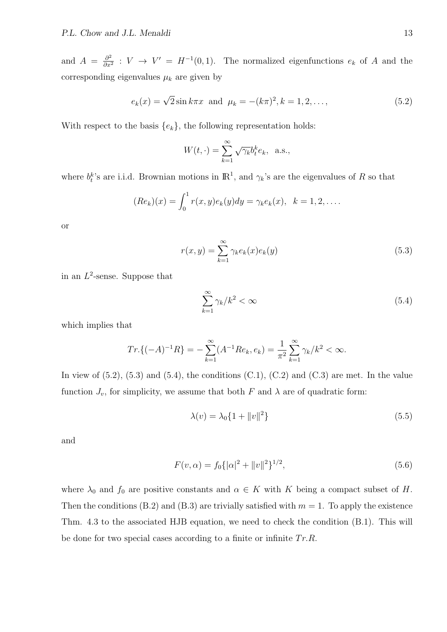and  $A = \frac{\partial^2}{\partial x^2}$  $\frac{\partial^2}{\partial x^2}$  :  $V \to V' = H^{-1}(0,1)$ . The normalized eigenfunctions  $e_k$  of *A* and the corresponding eigenvalues  $\mu_k$  are given by

$$
e_k(x) = \sqrt{2} \sin k\pi x
$$
 and  $\mu_k = -(k\pi)^2, k = 1, 2, ...,$  (5.2)

With respect to the basis  ${e_k}$ , the following representation holds:

$$
W(t, \cdot) = \sum_{k=1}^{\infty} \sqrt{\gamma_k} b_t^k e_k, \text{ a.s.},
$$

where  $b_t^k$ 's are i.i.d. Brownian motions in  $\mathbb{R}^1$ , and  $\gamma_k$ 's are the eigenvalues of *R* so that

$$
(Re_k)(x) = \int_0^1 r(x, y)e_k(y)dy = \gamma_k e_k(x), \ \ k = 1, 2, \dots
$$

or

$$
r(x,y) = \sum_{k=1}^{\infty} \gamma_k e_k(x) e_k(y)
$$
\n(5.3)

in an *L* 2 -sense. Suppose that

$$
\sum_{k=1}^{\infty} \gamma_k / k^2 < \infty \tag{5.4}
$$

which implies that

$$
Tr\{(-A)^{-1}R\} = -\sum_{k=1}^{\infty} (A^{-1}Re_k, e_k) = \frac{1}{\pi^2} \sum_{k=1}^{\infty} \gamma_k / k^2 < \infty.
$$

In view of  $(5.2)$ ,  $(5.3)$  and  $(5.4)$ , the conditions  $(C.1)$ ,  $(C.2)$  and  $(C.3)$  are met. In the value function  $J_v$ , for simplicity, we assume that both  $F$  and  $\lambda$  are of quadratic form:

$$
\lambda(v) = \lambda_0 \{ 1 + ||v||^2 \}
$$
\n(5.5)

and

$$
F(v, \alpha) = f_0 \{ |\alpha|^2 + ||v||^2 \}^{1/2},
$$
\n(5.6)

where  $\lambda_0$  and  $f_0$  are positive constants and  $\alpha \in K$  with K being a compact subset of H. Then the conditions (B.2) and (B.3) are trivially satisfied with  $m = 1$ . To apply the existence Thm. 4.3 to the associated HJB equation, we need to check the condition (B.1). This will be done for two special cases according to a finite or infinite *T r.R.*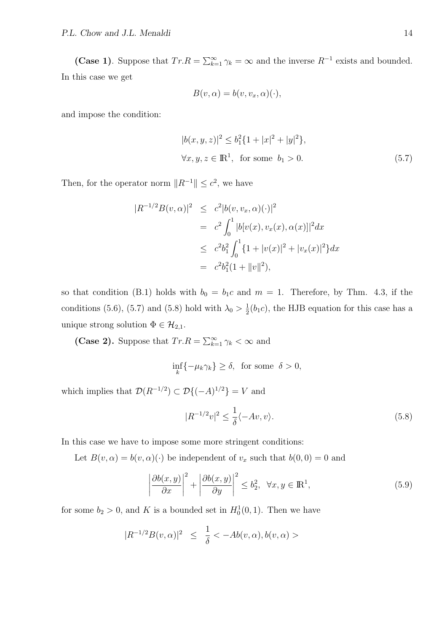**(Case 1)**. Suppose that  $Tr.R = \sum_{k=1}^{\infty} \gamma_k = \infty$  and the inverse  $R^{-1}$  exists and bounded. In this case we get

$$
B(v, \alpha) = b(v, v_x, \alpha)(\cdot),
$$

and impose the condition:

$$
|b(x, y, z)|^2 \le b_1^2 \{1 + |x|^2 + |y|^2\},\
$$
  

$$
\forall x, y, z \in \mathbb{R}^1, \text{ for some } b_1 > 0.
$$
 (5.7)

Then, for the operator norm  $||R^{-1}|| \leq c^2$ , we have

$$
|R^{-1/2}B(v, \alpha)|^2 \leq c^2 |b(v, v_x, \alpha)(\cdot)|^2
$$
  
=  $c^2 \int_0^1 |b[v(x), v_x(x), \alpha(x)]|^2 dx$   
 $\leq c^2 b_1^2 \int_0^1 \{1 + |v(x)|^2 + |v_x(x)|^2\} dx$   
=  $c^2 b_1^2 (1 + ||v||^2),$ 

so that condition (B.1) holds with  $b_0 = b_1c$  and  $m = 1$ . Therefore, by Thm. 4.3, if the conditions (5.6), (5.7) and (5.8) hold with  $\lambda_0 > \frac{1}{2}$  $\frac{1}{2}(b_1c)$ , the HJB equation for this case has a unique strong solution  $\Phi \in \mathcal{H}_{2,1}$ .

**(Case 2).** Suppose that  $Tr.R = \sum_{k=1}^{\infty} \gamma_k < \infty$  and

$$
\inf_{k} \{-\mu_k \gamma_k\} \ge \delta, \text{ for some } \delta > 0,
$$

which implies that  $\mathcal{D}(R^{-1/2}) \subset \mathcal{D}\{(-A)^{1/2}\} = V$  and

$$
|R^{-1/2}v|^2 \le \frac{1}{\delta}\langle -Av, v \rangle. \tag{5.8}
$$

In this case we have to impose some more stringent conditions:

Let  $B(v, \alpha) = b(v, \alpha)(\cdot)$  be independent of  $v_x$  such that  $b(0, 0) = 0$  and

$$
\left|\frac{\partial b(x,y)}{\partial x}\right|^2 + \left|\frac{\partial b(x,y)}{\partial y}\right|^2 \le b_2^2, \ \forall x, y \in \mathbb{R}^1,
$$
\n(5.9)

for some  $b_2 > 0$ , and K is a bounded set in  $H_0^1(0,1)$ . Then we have

$$
|R^{-1/2}B(v, \alpha)|^2 \le \frac{1}{\delta} < -Ab(v, \alpha), b(v, \alpha) >
$$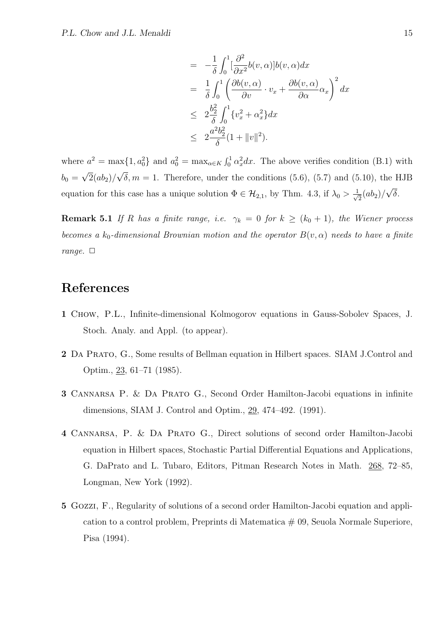$$
= -\frac{1}{\delta} \int_0^1 \left[ \frac{\partial^2}{\partial x^2} b(v, \alpha) \right] b(v, \alpha) dx
$$
  
\n
$$
= \frac{1}{\delta} \int_0^1 \left( \frac{\partial b(v, \alpha)}{\partial v} \cdot v_x + \frac{\partial b(v, \alpha)}{\partial \alpha} \alpha_x \right)^2 dx
$$
  
\n
$$
\leq 2 \frac{b_2^2}{\delta} \int_0^1 \{v_x^2 + \alpha_x^2\} dx
$$
  
\n
$$
\leq 2 \frac{a^2 b_2^2}{\delta} (1 + \|v\|^2).
$$

where  $a^2 = \max\{1, a_0^2\}$  and  $a_0^2 = \max_{\alpha \in K} \int_0^1 \alpha_x^2 dx$ . The above verifies condition (B.1) with  $b_0 =$ *√*  $2(ab_2)/$ *√*  $\delta, m = 1$ . Therefore, under the conditions (5.6), (5.7) and (5.10), the HJB equation for this case has a unique solution  $\Phi \in \mathcal{H}_{2,1}$ , by Thm. 4.3, if  $\lambda_0 > \frac{1}{\sqrt{2}}$  $\frac{1}{2}(ab_2)$ / *√ δ*.

**Remark 5.1** *If R has a finite range, i.e.*  $\gamma_k = 0$  *for*  $k \geq (k_0 + 1)$ *, the Wiener process becomes a*  $k_0$ -dimensional Brownian motion and the operator  $B(v, \alpha)$  needs to have a finite *range.*  $\Box$ 

## **References**

- **1** Chow, P.L., Infinite-dimensional Kolmogorov equations in Gauss-Sobolev Spaces, J. Stoch. Analy. and Appl. (to appear).
- **2** Da Prato, G., Some results of Bellman equation in Hilbert spaces. SIAM J.Control and Optim., 23, 61–71 (1985).
- **3** CANNARSA P. & DA PRATO G., Second Order Hamilton-Jacobi equations in infinite dimensions, SIAM J. Control and Optim., 29, 474–492. (1991).
- **4** Cannarsa, P. & Da Prato G., Direct solutions of second order Hamilton-Jacobi equation in Hilbert spaces, Stochastic Partial Differential Equations and Applications, G. DaPrato and L. Tubaro, Editors, Pitman Research Notes in Math. 268, 72–85, Longman, New York (1992).
- **5** Gozzi, F., Regularity of solutions of a second order Hamilton-Jacobi equation and application to a control problem, Preprints di Matematica  $\#$  09, Seuola Normale Superiore, Pisa (1994).